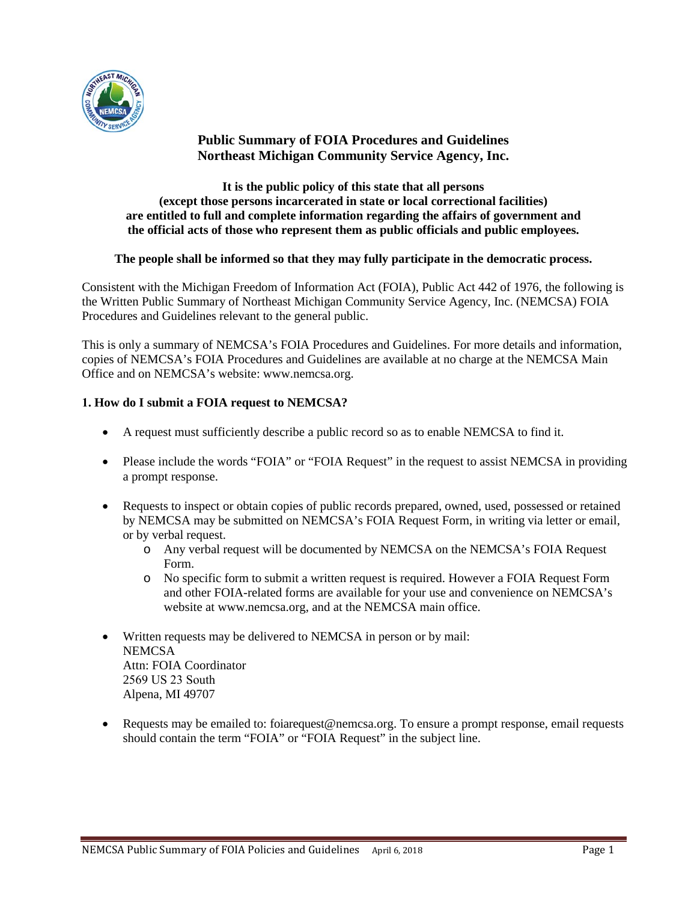

# **Public Summary of FOIA Procedures and Guidelines Northeast Michigan Community Service Agency, Inc.**

**It is the public policy of this state that all persons (except those persons incarcerated in state or local correctional facilities) are entitled to full and complete information regarding the affairs of government and the official acts of those who represent them as public officials and public employees.** 

## **The people shall be informed so that they may fully participate in the democratic process.**

Consistent with the Michigan Freedom of Information Act (FOIA), Public Act 442 of 1976, the following is the Written Public Summary of Northeast Michigan Community Service Agency, Inc. (NEMCSA) FOIA Procedures and Guidelines relevant to the general public.

This is only a summary of NEMCSA's FOIA Procedures and Guidelines. For more details and information, copies of NEMCSA's FOIA Procedures and Guidelines are available at no charge at the NEMCSA Main Office and on NEMCSA's website: www.nemcsa.org.

## **1. How do I submit a FOIA request to NEMCSA?**

- A request must sufficiently describe a public record so as to enable NEMCSA to find it.
- Please include the words "FOIA" or "FOIA Request" in the request to assist NEMCSA in providing a prompt response.
- Requests to inspect or obtain copies of public records prepared, owned, used, possessed or retained by NEMCSA may be submitted on NEMCSA's FOIA Request Form, in writing via letter or email, or by verbal request.
	- o Any verbal request will be documented by NEMCSA on the NEMCSA's FOIA Request Form.
	- o No specific form to submit a written request is required. However a FOIA Request Form and other FOIA-related forms are available for your use and convenience on NEMCSA's website at www.nemcsa.org, and at the NEMCSA main office.
- Written requests may be delivered to NEMCSA in person or by mail: **NEMCSA** Attn: FOIA Coordinator 2569 US 23 South Alpena, MI 49707
- Requests may be emailed to: foiarequest@nemcsa.org. To ensure a prompt response, email requests should contain the term "FOIA" or "FOIA Request" in the subject line.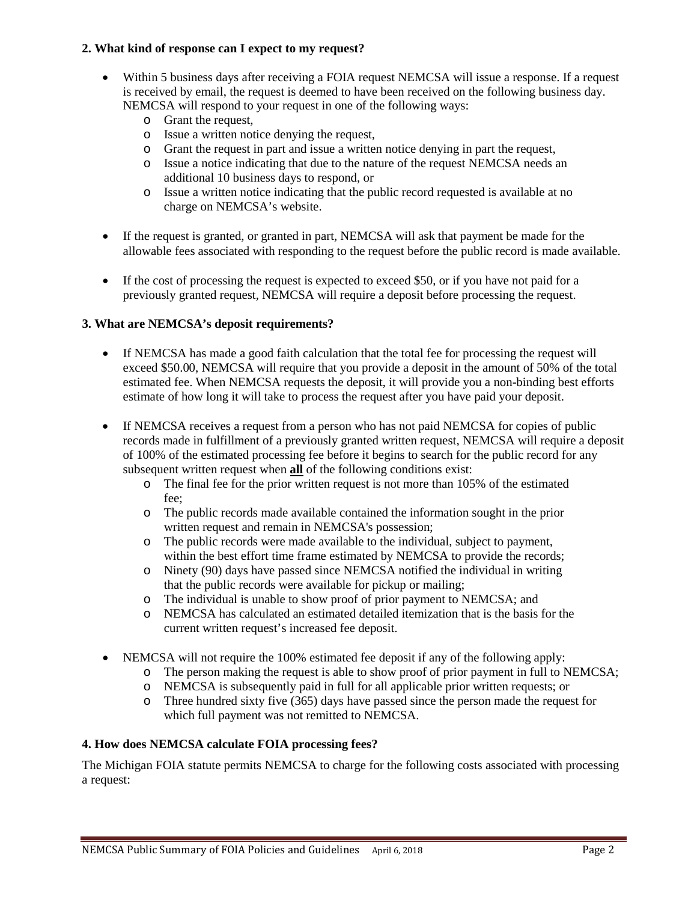### **2. What kind of response can I expect to my request?**

- Within 5 business days after receiving a FOIA request NEMCSA will issue a response. If a request is received by email, the request is deemed to have been received on the following business day. NEMCSA will respond to your request in one of the following ways:
	- o Grant the request,
	- o Issue a written notice denying the request,
	- o Grant the request in part and issue a written notice denying in part the request,
	- o Issue a notice indicating that due to the nature of the request NEMCSA needs an additional 10 business days to respond, or
	- o Issue a written notice indicating that the public record requested is available at no charge on NEMCSA's website.
- If the request is granted, or granted in part, NEMCSA will ask that payment be made for the allowable fees associated with responding to the request before the public record is made available.
- If the cost of processing the request is expected to exceed \$50, or if you have not paid for a previously granted request, NEMCSA will require a deposit before processing the request.

## **3. What are NEMCSA's deposit requirements?**

- If NEMCSA has made a good faith calculation that the total fee for processing the request will exceed \$50.00, NEMCSA will require that you provide a deposit in the amount of 50% of the total estimated fee. When NEMCSA requests the deposit, it will provide you a non-binding best efforts estimate of how long it will take to process the request after you have paid your deposit.
- If NEMCSA receives a request from a person who has not paid NEMCSA for copies of public records made in fulfillment of a previously granted written request, NEMCSA will require a deposit of 100% of the estimated processing fee before it begins to search for the public record for any subsequent written request when **all** of the following conditions exist:
	- o The final fee for the prior written request is not more than 105% of the estimated fee;
	- o The public records made available contained the information sought in the prior written request and remain in NEMCSA's possession;
	- o The public records were made available to the individual, subject to payment, within the best effort time frame estimated by NEMCSA to provide the records;
	- o Ninety (90) days have passed since NEMCSA notified the individual in writing that the public records were available for pickup or mailing;
	- o The individual is unable to show proof of prior payment to NEMCSA; and
	- o NEMCSA has calculated an estimated detailed itemization that is the basis for the current written request's increased fee deposit.
- NEMCSA will not require the 100% estimated fee deposit if any of the following apply:
	- o The person making the request is able to show proof of prior payment in full to NEMCSA;
	- o NEMCSA is subsequently paid in full for all applicable prior written requests; or
	- o Three hundred sixty five (365) days have passed since the person made the request for which full payment was not remitted to NEMCSA.

#### **4. How does NEMCSA calculate FOIA processing fees?**

The Michigan FOIA statute permits NEMCSA to charge for the following costs associated with processing a request: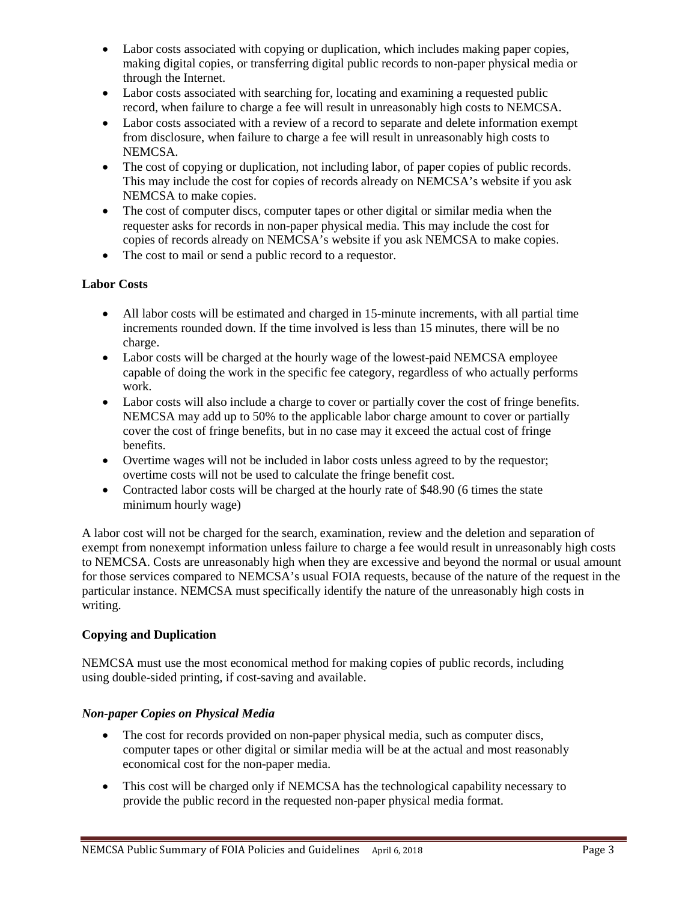- Labor costs associated with copying or duplication, which includes making paper copies, making digital copies, or transferring digital public records to non-paper physical media or through the Internet.
- Labor costs associated with searching for, locating and examining a requested public record, when failure to charge a fee will result in unreasonably high costs to NEMCSA.
- Labor costs associated with a review of a record to separate and delete information exempt from disclosure, when failure to charge a fee will result in unreasonably high costs to NEMCSA.
- The cost of copying or duplication, not including labor, of paper copies of public records. This may include the cost for copies of records already on NEMCSA's website if you ask NEMCSA to make copies.
- The cost of computer discs, computer tapes or other digital or similar media when the requester asks for records in non-paper physical media. This may include the cost for copies of records already on NEMCSA's website if you ask NEMCSA to make copies.
- The cost to mail or send a public record to a requestor.

## **Labor Costs**

- All labor costs will be estimated and charged in 15-minute increments, with all partial time increments rounded down. If the time involved is less than 15 minutes, there will be no charge.
- Labor costs will be charged at the hourly wage of the lowest-paid NEMCSA employee capable of doing the work in the specific fee category, regardless of who actually performs work.
- Labor costs will also include a charge to cover or partially cover the cost of fringe benefits. NEMCSA may add up to 50% to the applicable labor charge amount to cover or partially cover the cost of fringe benefits, but in no case may it exceed the actual cost of fringe benefits.
- Overtime wages will not be included in labor costs unless agreed to by the requestor; overtime costs will not be used to calculate the fringe benefit cost.
- Contracted labor costs will be charged at the hourly rate of \$48.90 (6 times the state minimum hourly wage)

A labor cost will not be charged for the search, examination, review and the deletion and separation of exempt from nonexempt information unless failure to charge a fee would result in unreasonably high costs to NEMCSA. Costs are unreasonably high when they are excessive and beyond the normal or usual amount for those services compared to NEMCSA's usual FOIA requests, because of the nature of the request in the particular instance. NEMCSA must specifically identify the nature of the unreasonably high costs in writing.

#### **Copying and Duplication**

NEMCSA must use the most economical method for making copies of public records, including using double-sided printing, if cost-saving and available.

#### *Non-paper Copies on Physical Media*

- The cost for records provided on non-paper physical media, such as computer discs, computer tapes or other digital or similar media will be at the actual and most reasonably economical cost for the non-paper media.
- This cost will be charged only if NEMCSA has the technological capability necessary to provide the public record in the requested non-paper physical media format.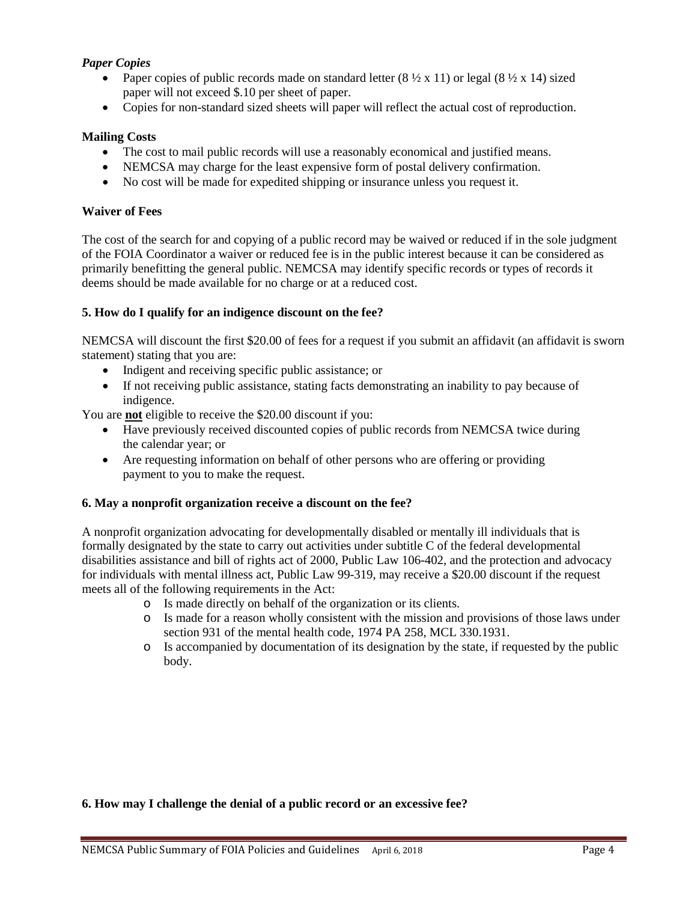## *Paper Copies*

- Paper copies of public records made on standard letter  $(8 \frac{1}{2} \times 11)$  or legal  $(8 \frac{1}{2} \times 14)$  sized paper will not exceed \$.10 per sheet of paper.
- Copies for non-standard sized sheets will paper will reflect the actual cost of reproduction.

#### **Mailing Costs**

- The cost to mail public records will use a reasonably economical and justified means.
- NEMCSA may charge for the least expensive form of postal delivery confirmation.
- No cost will be made for expedited shipping or insurance unless you request it.

#### **Waiver of Fees**

The cost of the search for and copying of a public record may be waived or reduced if in the sole judgment of the FOIA Coordinator a waiver or reduced fee is in the public interest because it can be considered as primarily benefitting the general public. NEMCSA may identify specific records or types of records it deems should be made available for no charge or at a reduced cost.

#### **5. How do I qualify for an indigence discount on the fee?**

NEMCSA will discount the first \$20.00 of fees for a request if you submit an affidavit (an affidavit is sworn statement) stating that you are:

- Indigent and receiving specific public assistance; or
- If not receiving public assistance, stating facts demonstrating an inability to pay because of indigence.

You are **not** eligible to receive the \$20.00 discount if you:

- Have previously received discounted copies of public records from NEMCSA twice during the calendar year; or
- Are requesting information on behalf of other persons who are offering or providing payment to you to make the request.

#### **6. May a nonprofit organization receive a discount on the fee?**

A nonprofit organization advocating for developmentally disabled or mentally ill individuals that is formally designated by the state to carry out activities under subtitle C of the federal developmental disabilities assistance and bill of rights act of 2000, Public Law 106-402, and the protection and advocacy for individuals with mental illness act, Public Law 99-319, may receive a \$20.00 discount if the request meets all of the following requirements in the Act:

- o Is made directly on behalf of the organization or its clients.
- Is made for a reason wholly consistent with the mission and provisions of those laws under section 931 of the mental health code, 1974 PA 258, MCL 330.1931.
- o Is accompanied by documentation of its designation by the state, if requested by the public body.

#### **6. How may I challenge the denial of a public record or an excessive fee?**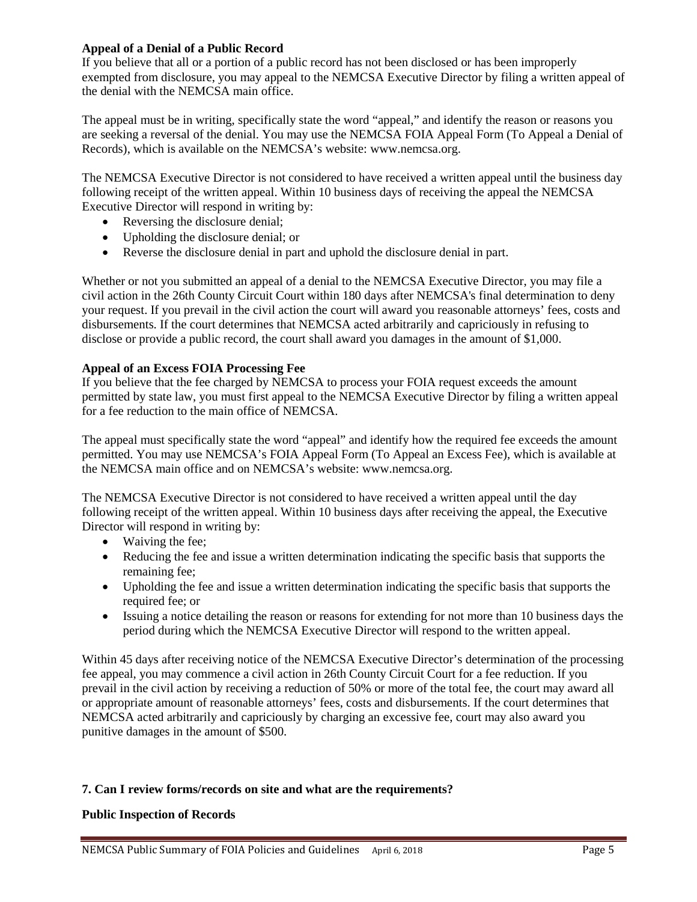### **Appeal of a Denial of a Public Record**

If you believe that all or a portion of a public record has not been disclosed or has been improperly exempted from disclosure, you may appeal to the NEMCSA Executive Director by filing a written appeal of the denial with the NEMCSA main office.

The appeal must be in writing, specifically state the word "appeal," and identify the reason or reasons you are seeking a reversal of the denial. You may use the NEMCSA FOIA Appeal Form (To Appeal a Denial of Records), which is available on the NEMCSA's website: www.nemcsa.org.

The NEMCSA Executive Director is not considered to have received a written appeal until the business day following receipt of the written appeal. Within 10 business days of receiving the appeal the NEMCSA Executive Director will respond in writing by:

- Reversing the disclosure denial;
- Upholding the disclosure denial; or
- Reverse the disclosure denial in part and uphold the disclosure denial in part.

Whether or not you submitted an appeal of a denial to the NEMCSA Executive Director, you may file a civil action in the 26th County Circuit Court within 180 days after NEMCSA's final determination to deny your request. If you prevail in the civil action the court will award you reasonable attorneys' fees, costs and disbursements. If the court determines that NEMCSA acted arbitrarily and capriciously in refusing to disclose or provide a public record, the court shall award you damages in the amount of \$1,000.

## **Appeal of an Excess FOIA Processing Fee**

If you believe that the fee charged by NEMCSA to process your FOIA request exceeds the amount permitted by state law, you must first appeal to the NEMCSA Executive Director by filing a written appeal for a fee reduction to the main office of NEMCSA.

The appeal must specifically state the word "appeal" and identify how the required fee exceeds the amount permitted. You may use NEMCSA's FOIA Appeal Form (To Appeal an Excess Fee), which is available at the NEMCSA main office and on NEMCSA's website: www.nemcsa.org.

The NEMCSA Executive Director is not considered to have received a written appeal until the day following receipt of the written appeal. Within 10 business days after receiving the appeal, the Executive Director will respond in writing by:

- Waiving the fee:
- Reducing the fee and issue a written determination indicating the specific basis that supports the remaining fee;
- Upholding the fee and issue a written determination indicating the specific basis that supports the required fee; or
- Issuing a notice detailing the reason or reasons for extending for not more than 10 business days the period during which the NEMCSA Executive Director will respond to the written appeal.

Within 45 days after receiving notice of the NEMCSA Executive Director's determination of the processing fee appeal, you may commence a civil action in 26th County Circuit Court for a fee reduction. If you prevail in the civil action by receiving a reduction of 50% or more of the total fee, the court may award all or appropriate amount of reasonable attorneys' fees, costs and disbursements. If the court determines that NEMCSA acted arbitrarily and capriciously by charging an excessive fee, court may also award you punitive damages in the amount of \$500.

## **7. Can I review forms/records on site and what are the requirements?**

## **Public Inspection of Records**